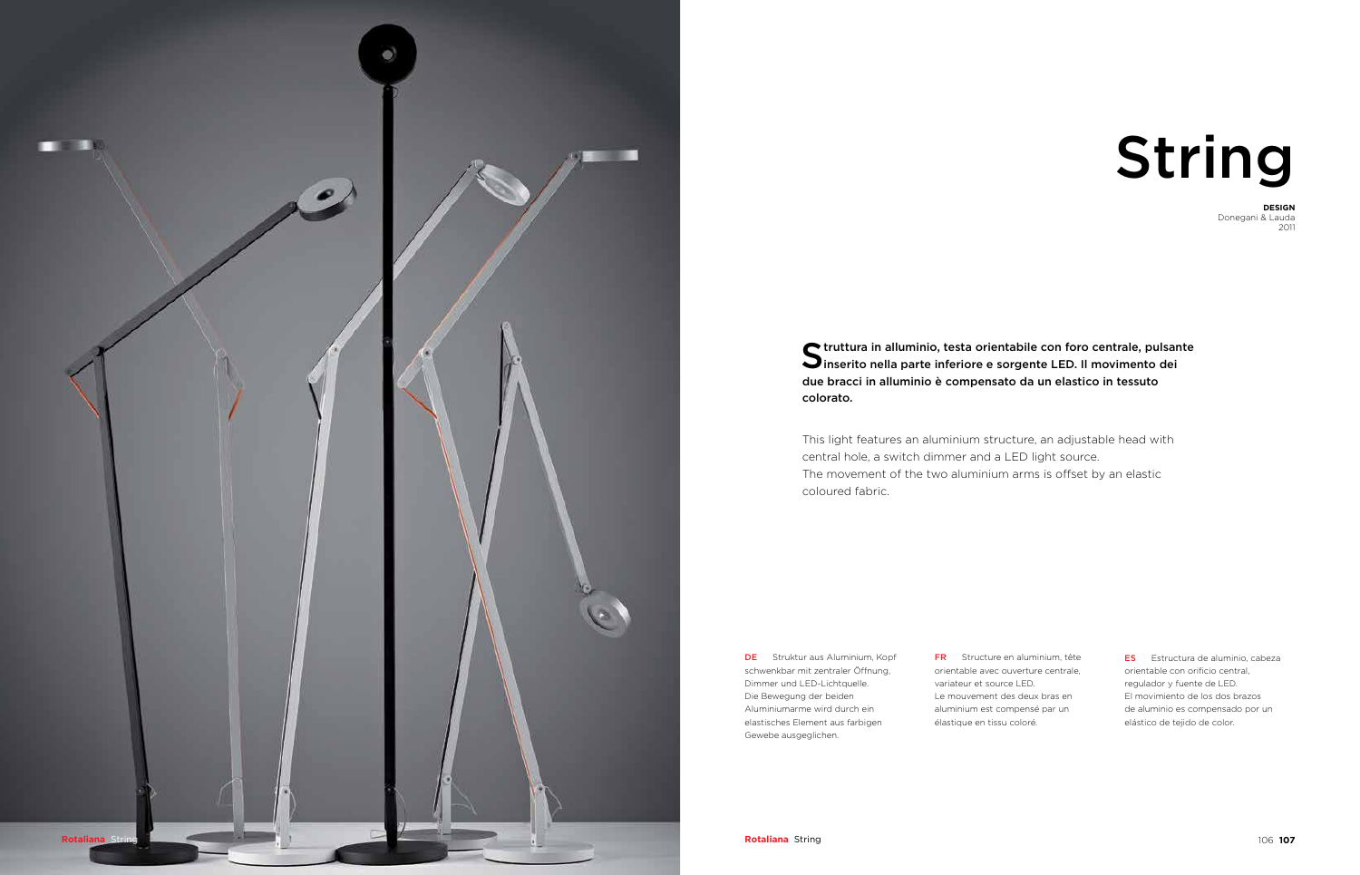**DESIGN** Donegani & Lauda 2011

## String

Struttura in alluminio, testa orientabile con foro centrale, pulsante inserito nella parte inferiore e sorgente LED. Il movimento dei due bracci in alluminio è compensato da un elastico in tessuto colorato.

DE Struktur aus Aluminium, Kopf schwenkbar mit zentraler Öffnung, Dimmer und LED-Lichtquelle. Die Bewegung der beiden Aluminiumarme wird durch ein elastisches Element aus farbigen Gewebe ausgeglichen.

This light features an aluminium structure, an adjustable head with central hole, a switch dimmer and a LED light source. The movement of the two aluminium arms is offset by an elastic coloured fabric.

> FR Structure en aluminium, tête orientable avec ouverture centrale, variateur et source LED. Le mouvement des deux bras en aluminium est compensé par un élastique en tissu coloré.

ES Estructura de aluminio, cabeza orientable con orificio central, regulador y fuente de LED. El movimiento de los dos brazos de aluminio es compensado por un elástico de tejido de color.

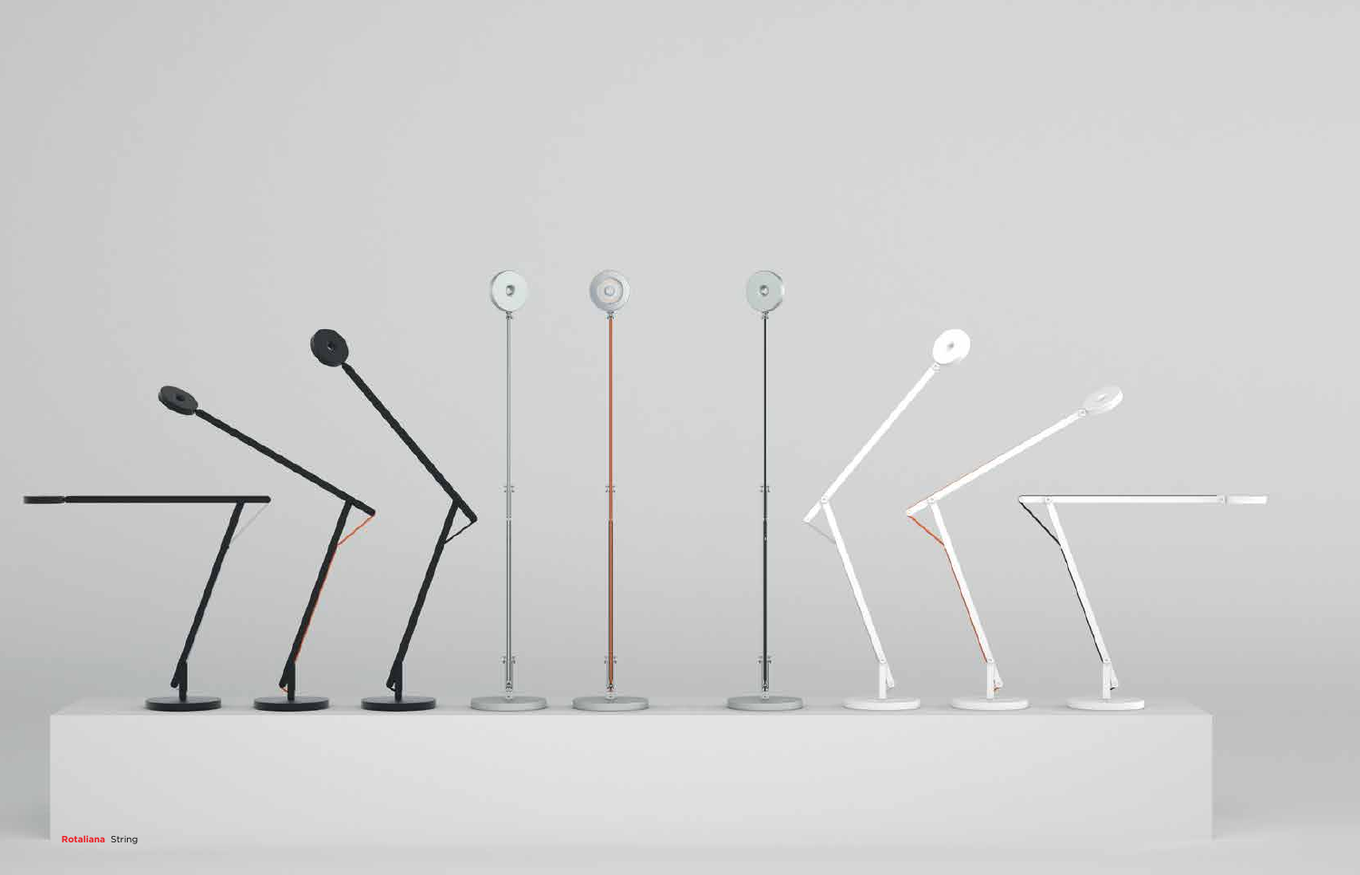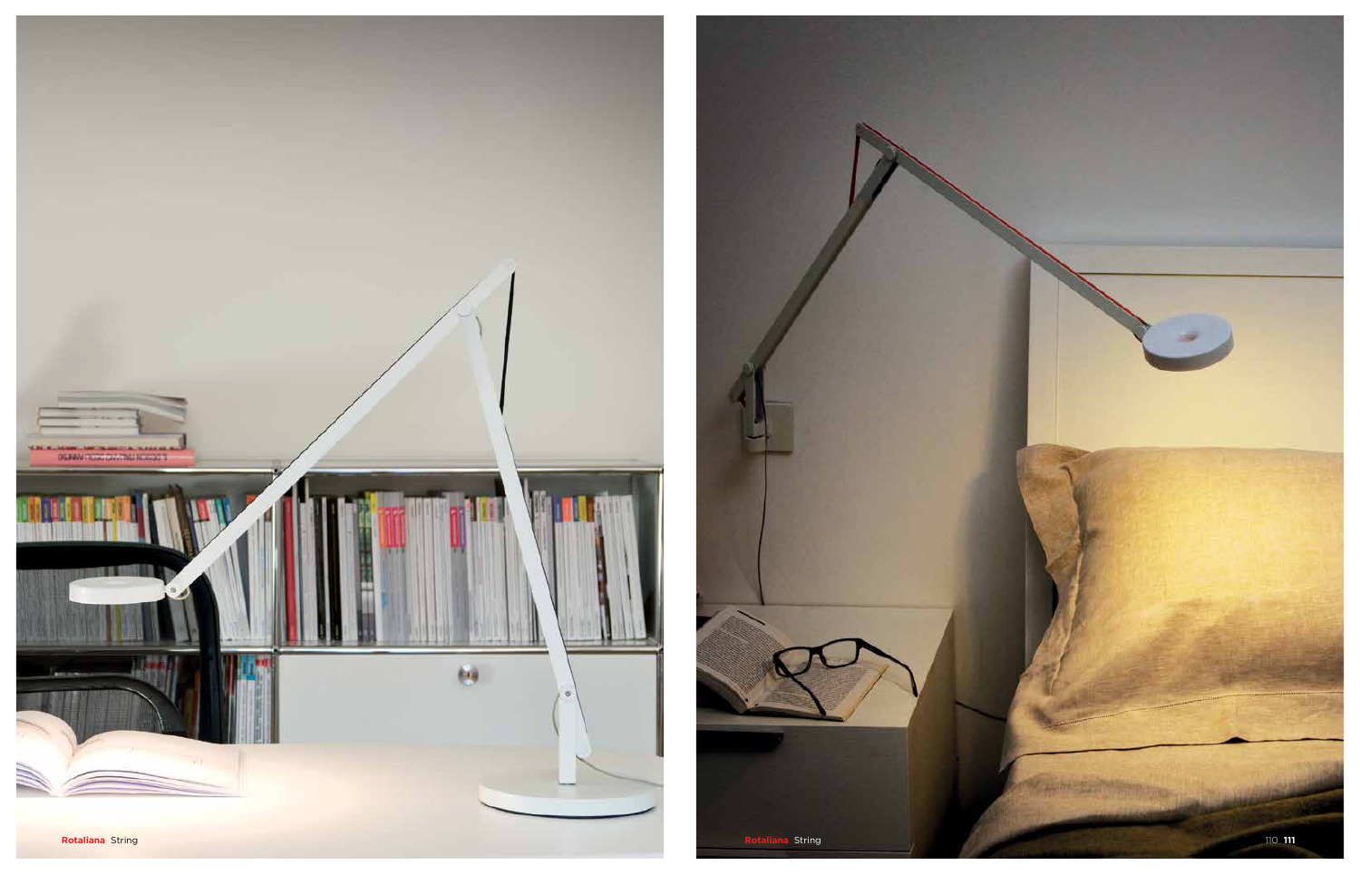

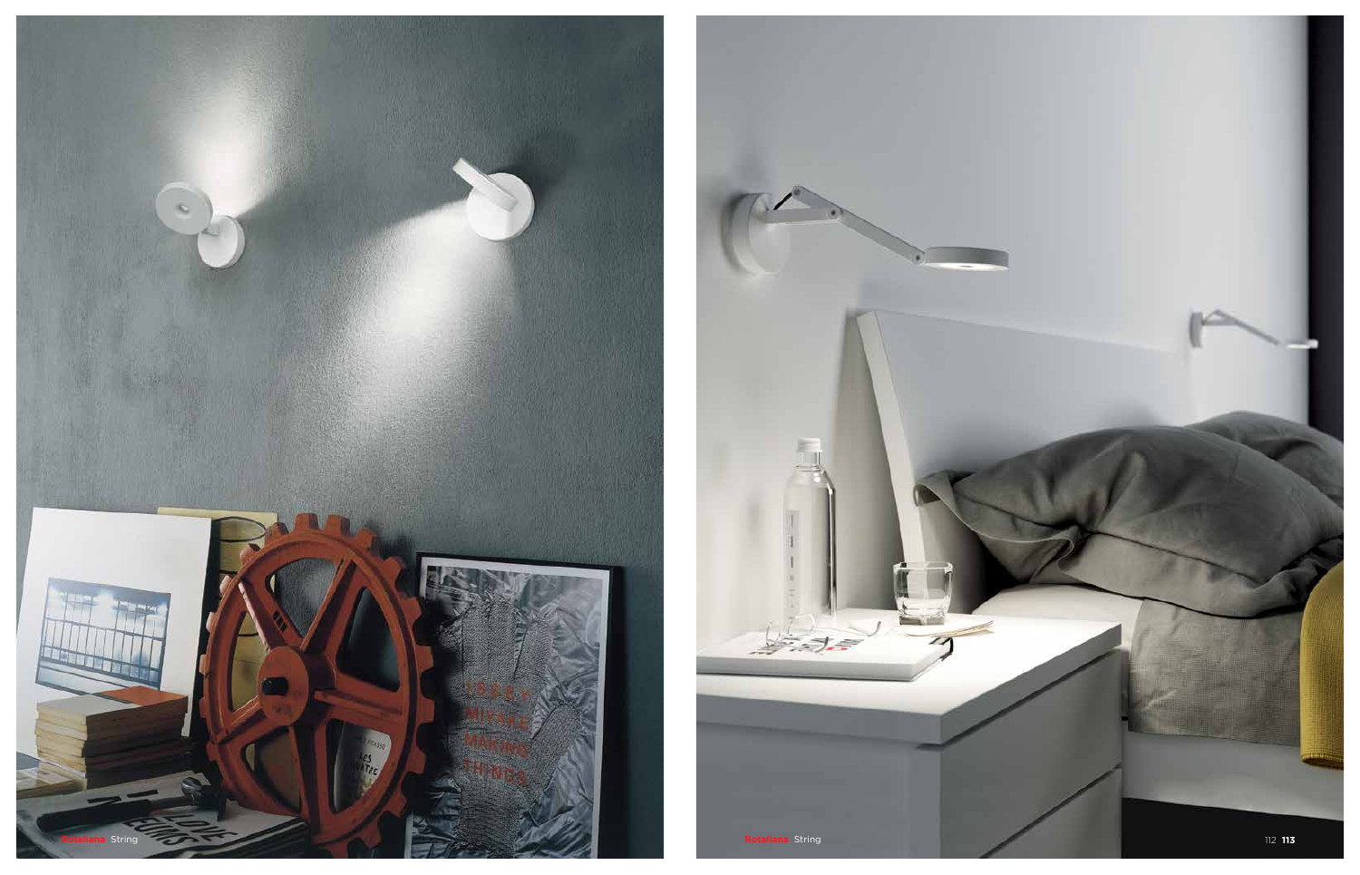